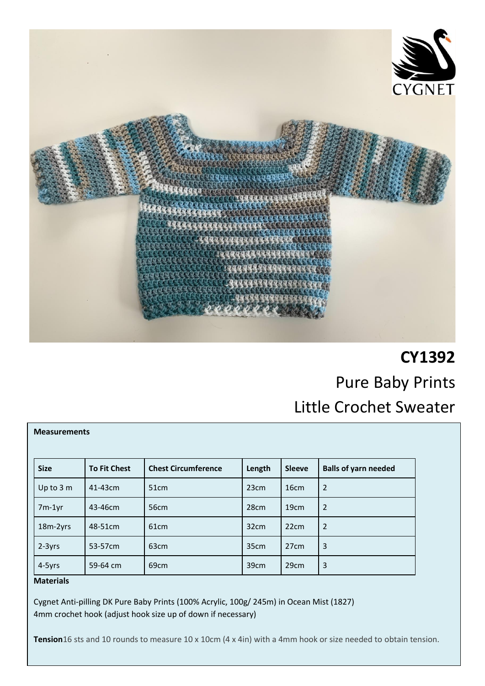

# **CY1392** Pure Baby Prints Little Crochet Sweater

| <b>Measurements</b> |                     |                            |                  |                  |                             |  |
|---------------------|---------------------|----------------------------|------------------|------------------|-----------------------------|--|
| <b>Size</b>         | <b>To Fit Chest</b> | <b>Chest Circumference</b> | Length           | <b>Sleeve</b>    | <b>Balls of yarn needed</b> |  |
| Up to 3 m           | 41-43cm             | 51 <sub>cm</sub>           | 23 <sub>cm</sub> | 16 <sub>cm</sub> | $\overline{2}$              |  |
| $7m-1yr$            | 43-46cm             | 56cm                       | 28cm             | 19 <sub>cm</sub> | 2                           |  |
| 18m-2yrs            | 48-51cm             | 61 <sub>cm</sub>           | 32 <sub>cm</sub> | 22cm             | 2                           |  |
| 2-3yrs              | 53-57cm             | 63 <sub>cm</sub>           | 35cm             | 27 <sub>cm</sub> | 3                           |  |
| 4-5yrs              | 59-64 cm            | 69cm                       | 39cm             | 29cm             | 3                           |  |

## **Materials**

Cygnet Anti-pilling DK Pure Baby Prints (100% Acrylic, 100g/ 245m) in Ocean Mist (1827) 4mm crochet hook (adjust hook size up of down if necessary)

**Tension**16 sts and 10 rounds to measure 10 x 10cm (4 x 4in) with a 4mm hook or size needed to obtain tension.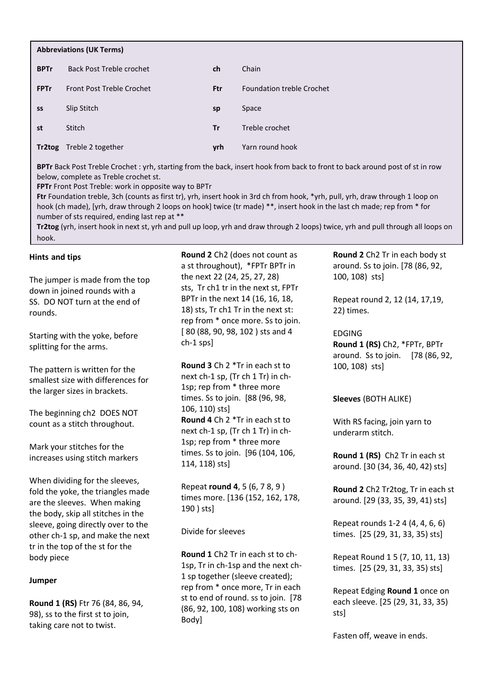| <b>Abbreviations (UK Terms)</b> |                                  |           |                                  |  |
|---------------------------------|----------------------------------|-----------|----------------------------------|--|
| <b>BPTr</b>                     | <b>Back Post Treble crochet</b>  | ch        | Chain                            |  |
| <b>FPTr</b>                     | <b>Front Post Treble Crochet</b> | Ftr       | <b>Foundation treble Crochet</b> |  |
| SS                              | Slip Stitch                      | sp        | Space                            |  |
| st                              | Stitch                           | <b>Tr</b> | Treble crochet                   |  |
| Tr2tog                          | Treble 2 together                | yrh       | Yarn round hook                  |  |

**BPTr** Back Post Treble Crochet : yrh, starting from the back, insert hook from back to front to back around post of st in row below, complete as Treble crochet st.

**FPTr** Front Post Treble: work in opposite way to BPTr

**Ftr** Foundation treble, 3ch (counts as first tr), yrh, insert hook in 3rd ch from hook, \*yrh, pull, yrh, draw through 1 loop on hook (ch made), [yrh, draw through 2 loops on hook] twice (tr made) \*\*, insert hook in the last ch made; rep from \* for number of sts required, ending last rep at \*\*

**Tr2tog** (yrh, insert hook in next st, yrh and pull up loop, yrh and draw through 2 loops) twice, yrh and pull through all loops on hook.

## **Hints and tips**

The jumper is made from the top down in joined rounds with a SS. DO NOT turn at the end of rounds.

Starting with the yoke, before splitting for the arms.

The pattern is written for the smallest size with differences for the larger sizes in brackets.

The beginning ch2 DOES NOT count as a stitch throughout.

Mark your stitches for the increases using stitch markers

When dividing for the sleeves, fold the yoke, the triangles made are the sleeves. When making the body, skip all stitches in the sleeve, going directly over to the other ch-1 sp, and make the next tr in the top of the st for the body piece

### **Jumper**

**Round 1 (RS)** Ftr 76 (84, 86, 94, 98), ss to the first st to join, taking care not to twist.

**Round 2** Ch2 (does not count as a st throughout), \*FPTr BPTr in the next 22 (24, 25, 27, 28) sts, Tr ch1 tr in the next st, FPTr BPTr in the next 14 (16, 16, 18, 18) sts, Tr ch1 Tr in the next st: rep from \* once more. Ss to join. [ 80 (88, 90, 98, 102 ) sts and 4 ch-1 sps]

**Round 3** Ch 2 \*Tr in each st to next ch-1 sp, (Tr ch 1 Tr) in ch-1sp; rep from \* three more times. Ss to join. [88 (96, 98, 106, 110) sts] **Round 4** Ch 2 \*Tr in each st to next ch-1 sp, (Tr ch 1 Tr) in ch-1sp; rep from \* three more times. Ss to join. [96 (104, 106, 114, 118) sts]

Repeat **round 4**, 5 (6, 7 8, 9 ) times more. [136 (152, 162, 178, 190 ) sts]

Divide for sleeves

**Round 1** Ch2 Tr in each st to ch-1sp, Tr in ch-1sp and the next ch-1 sp together (sleeve created); rep from \* once more, Tr in each st to end of round. ss to join. [78 (86, 92, 100, 108) working sts on Body]

**Round 2** Ch2 Tr in each body st around. Ss to join. [78 (86, 92, 100, 108) sts]

Repeat round 2, 12 (14, 17,19, 22) times.

EDGING **Round 1 (RS)** Ch2, \*FPTr, BPTr around. Ss to join. [78 (86, 92, 100, 108) sts]

### **Sleeves** (BOTH ALIKE)

With RS facing, join yarn to underarm stitch.

**Round 1 (RS)** Ch2 Tr in each st around. [30 (34, 36, 40, 42) sts]

**Round 2** Ch2 Tr2tog, Tr in each st around. [29 (33, 35, 39, 41) sts]

Repeat rounds 1-2 4 (4, 4, 6, 6) times. [25 (29, 31, 33, 35) sts]

Repeat Round 1 5 (7, 10, 11, 13) times. [25 (29, 31, 33, 35) sts]

Repeat Edging **Round 1** once on each sleeve. [25 (29, 31, 33, 35) sts]

Fasten off, weave in ends.